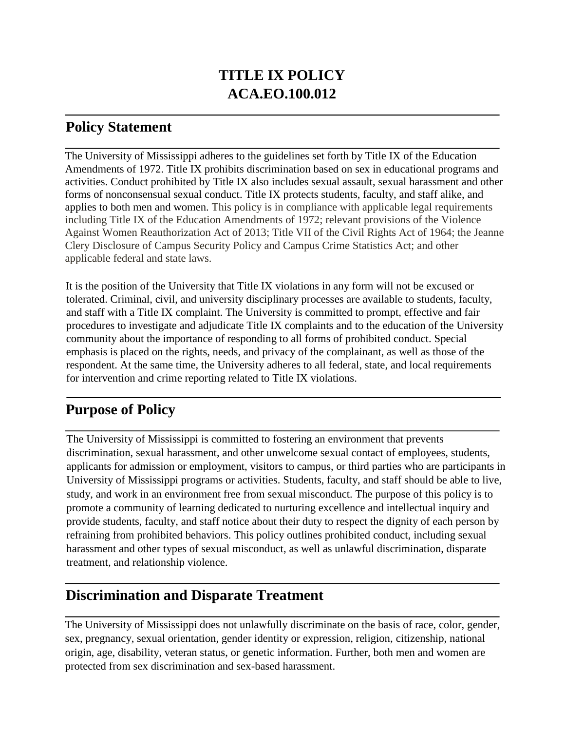# **TITLE IX POLICY ACA.EO.100.012**

### **Policy Statement**

The University of Mississippi adheres to the guidelines set forth by Title IX of the Education Amendments of 1972. Title IX prohibits discrimination based on sex in educational programs and activities. Conduct prohibited by Title IX also includes sexual assault, sexual harassment and other forms of nonconsensual sexual conduct. Title IX protects students, faculty, and staff alike, and applies to both men and women. This policy is in compliance with applicable legal requirements including Title IX of the Education Amendments of 1972; relevant provisions of the Violence Against Women Reauthorization Act of 2013; Title VII of the Civil Rights Act of 1964; the Jeanne Clery Disclosure of Campus Security Policy and Campus Crime Statistics Act; and other applicable federal and state laws.

It is the position of the University that Title IX violations in any form will not be excused or tolerated. Criminal, civil, and university disciplinary processes are available to students, faculty, and staff with a Title IX complaint. The University is committed to prompt, effective and fair procedures to investigate and adjudicate Title IX complaints and to the education of the University community about the importance of responding to all forms of prohibited conduct. Special emphasis is placed on the rights, needs, and privacy of the complainant, as well as those of the respondent. At the same time, the University adheres to all federal, state, and local requirements for intervention and crime reporting related to Title IX violations.

# **Purpose of Policy**

The University of Mississippi is committed to fostering an environment that prevents discrimination, sexual harassment, and other unwelcome sexual contact of employees, students, applicants for admission or employment, visitors to campus, or third parties who are participants in University of Mississippi programs or activities. Students, faculty, and staff should be able to live, study, and work in an environment free from sexual misconduct. The purpose of this policy is to promote a community of learning dedicated to nurturing excellence and intellectual inquiry and provide students, faculty, and staff notice about their duty to respect the dignity of each person by refraining from prohibited behaviors. This policy outlines prohibited conduct, including sexual harassment and other types of sexual misconduct, as well as unlawful discrimination, disparate treatment, and relationship violence.

## **Discrimination and Disparate Treatment**

The University of Mississippi does not unlawfully discriminate on the basis of race, color, gender, sex, pregnancy, sexual orientation, gender identity or expression, religion, citizenship, national origin, age, disability, veteran status, or genetic information. Further, both men and women are protected from sex discrimination and sex-based harassment.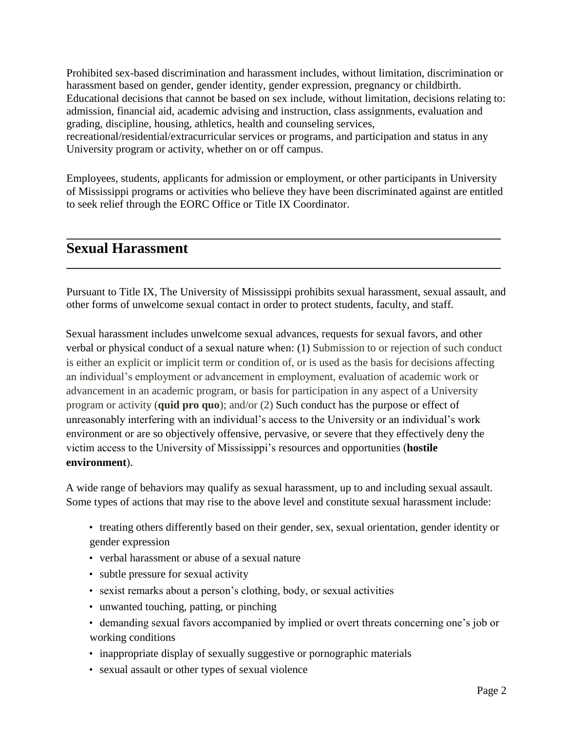Prohibited sex-based discrimination and harassment includes, without limitation, discrimination or harassment based on gender, gender identity, gender expression, pregnancy or childbirth. Educational decisions that cannot be based on sex include, without limitation, decisions relating to: admission, financial aid, academic advising and instruction, class assignments, evaluation and grading, discipline, housing, athletics, health and counseling services, recreational/residential/extracurricular services or programs, and participation and status in any

University program or activity, whether on or off campus.

Employees, students, applicants for admission or employment, or other participants in University of Mississippi programs or activities who believe they have been discriminated against are entitled to seek relief through the EORC Office or Title IX Coordinator.

#### **Sexual Harassment**

Pursuant to Title IX, The University of Mississippi prohibits sexual harassment, sexual assault, and other forms of unwelcome sexual contact in order to protect students, faculty, and staff.

Sexual harassment includes unwelcome sexual advances, requests for sexual favors, and other verbal or physical conduct of a sexual nature when: (1) Submission to or rejection of such conduct is either an explicit or implicit term or condition of, or is used as the basis for decisions affecting an individual's employment or advancement in employment, evaluation of academic work or advancement in an academic program, or basis for participation in any aspect of a University program or activity (**quid pro quo**); and/or (2) Such conduct has the purpose or effect of unreasonably interfering with an individual's access to the University or an individual's work environment or are so objectively offensive, pervasive, or severe that they effectively deny the victim access to the University of Mississippi's resources and opportunities (**hostile environment**).

A wide range of behaviors may qualify as sexual harassment, up to and including sexual assault. Some types of actions that may rise to the above level and constitute sexual harassment include:

- treating others differently based on their gender, sex, sexual orientation, gender identity or gender expression
- verbal harassment or abuse of a sexual nature
- subtle pressure for sexual activity
- sexist remarks about a person's clothing, body, or sexual activities
- unwanted touching, patting, or pinching
- demanding sexual favors accompanied by implied or overt threats concerning one's job or working conditions
- inappropriate display of sexually suggestive or pornographic materials
- sexual assault or other types of sexual violence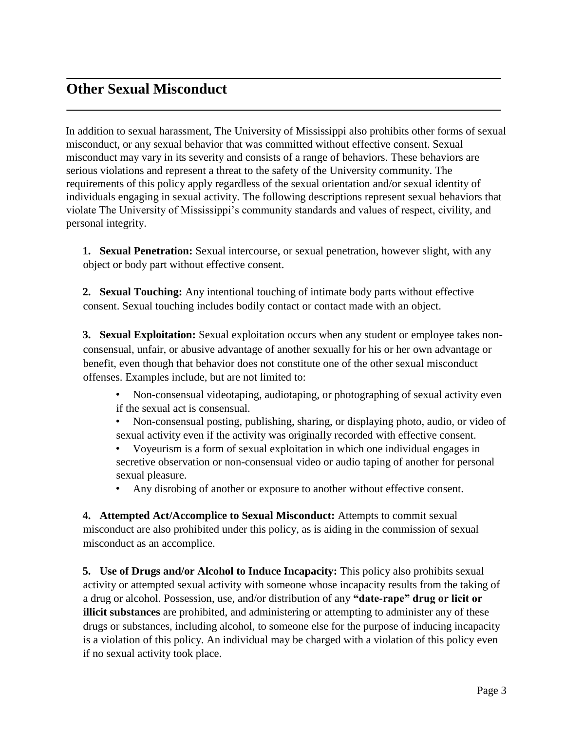## **Other Sexual Misconduct**

In addition to sexual harassment, The University of Mississippi also prohibits other forms of sexual misconduct, or any sexual behavior that was committed without effective consent. Sexual misconduct may vary in its severity and consists of a range of behaviors. These behaviors are serious violations and represent a threat to the safety of the University community. The requirements of this policy apply regardless of the sexual orientation and/or sexual identity of individuals engaging in sexual activity. The following descriptions represent sexual behaviors that violate The University of Mississippi's community standards and values of respect, civility, and personal integrity.

**1. Sexual Penetration:** Sexual intercourse, or sexual penetration, however slight, with any object or body part without effective consent.

**2. Sexual Touching:** Any intentional touching of intimate body parts without effective consent. Sexual touching includes bodily contact or contact made with an object.

**3. Sexual Exploitation:** Sexual exploitation occurs when any student or employee takes nonconsensual, unfair, or abusive advantage of another sexually for his or her own advantage or benefit, even though that behavior does not constitute one of the other sexual misconduct offenses. Examples include, but are not limited to:

- Non-consensual videotaping, audiotaping, or photographing of sexual activity even if the sexual act is consensual.
- Non-consensual posting, publishing, sharing, or displaying photo, audio, or video of sexual activity even if the activity was originally recorded with effective consent.
- Voyeurism is a form of sexual exploitation in which one individual engages in secretive observation or non-consensual video or audio taping of another for personal sexual pleasure.
- Any disrobing of another or exposure to another without effective consent.

**4. Attempted Act/Accomplice to Sexual Misconduct:** Attempts to commit sexual misconduct are also prohibited under this policy, as is aiding in the commission of sexual misconduct as an accomplice.

**5. Use of Drugs and/or Alcohol to Induce Incapacity:** This policy also prohibits sexual activity or attempted sexual activity with someone whose incapacity results from the taking of a drug or alcohol. Possession, use, and/or distribution of any **"date-rape" drug or licit or illicit substances** are prohibited, and administering or attempting to administer any of these drugs or substances, including alcohol, to someone else for the purpose of inducing incapacity is a violation of this policy. An individual may be charged with a violation of this policy even if no sexual activity took place.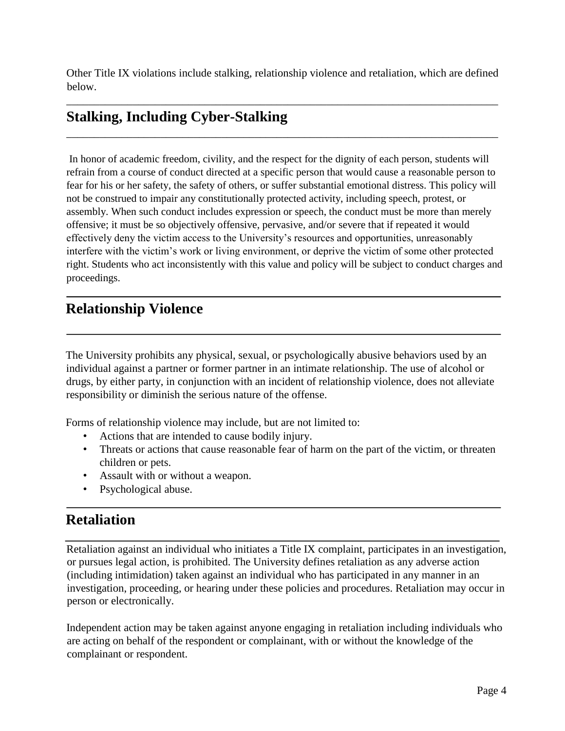Other Title IX violations include stalking, relationship violence and retaliation, which are defined below.

\_\_\_\_\_\_\_\_\_\_\_\_\_\_\_\_\_\_\_\_\_\_\_\_\_\_\_\_\_\_\_\_\_\_\_\_\_\_\_\_\_\_\_\_\_\_\_\_\_\_\_\_\_\_\_\_\_\_\_\_\_\_\_\_\_\_\_\_\_\_\_\_\_\_\_\_\_\_

\_\_\_\_\_\_\_\_\_\_\_\_\_\_\_\_\_\_\_\_\_\_\_\_\_\_\_\_\_\_\_\_\_\_\_\_\_\_\_\_\_\_\_\_\_\_\_\_\_\_\_\_\_\_\_\_\_\_\_\_\_\_\_\_\_\_\_\_\_\_\_\_\_\_\_\_\_\_

## **Stalking, Including Cyber-Stalking**

In honor of academic freedom, civility, and the respect for the dignity of each person, students will refrain from a course of conduct directed at a specific person that would cause a reasonable person to fear for his or her safety, the safety of others, or suffer substantial emotional distress. This policy will not be construed to impair any constitutionally protected activity, including speech, protest, or assembly. When such conduct includes expression or speech, the conduct must be more than merely offensive; it must be so objectively offensive, pervasive, and/or severe that if repeated it would effectively deny the victim access to the University's resources and opportunities, unreasonably interfere with the victim's work or living environment, or deprive the victim of some other protected right. Students who act inconsistently with this value and policy will be subject to conduct charges and proceedings.

## **Relationship Violence**

The University prohibits any physical, sexual, or psychologically abusive behaviors used by an individual against a partner or former partner in an intimate relationship. The use of alcohol or drugs, by either party, in conjunction with an incident of relationship violence, does not alleviate responsibility or diminish the serious nature of the offense.

Forms of relationship violence may include, but are not limited to:

- Actions that are intended to cause bodily injury.
- Threats or actions that cause reasonable fear of harm on the part of the victim, or threaten children or pets.
- Assault with or without a weapon.
- Psychological abuse.

## **Retaliation**

Retaliation against an individual who initiates a Title IX complaint, participates in an investigation, or pursues legal action, is prohibited. The University defines retaliation as any adverse action (including intimidation) taken against an individual who has participated in any manner in an investigation, proceeding, or hearing under these policies and procedures. Retaliation may occur in person or electronically.

Independent action may be taken against anyone engaging in retaliation including individuals who are acting on behalf of the respondent or complainant, with or without the knowledge of the complainant or respondent.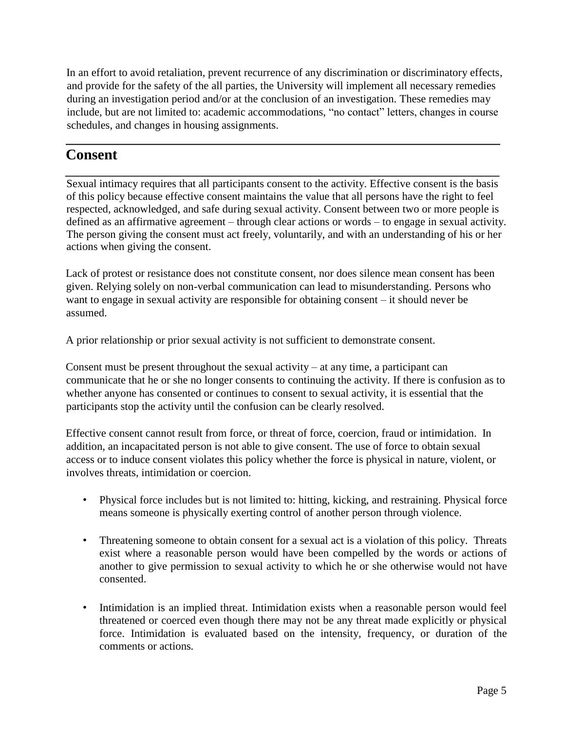In an effort to avoid retaliation, prevent recurrence of any discrimination or discriminatory effects, and provide for the safety of the all parties, the University will implement all necessary remedies during an investigation period and/or at the conclusion of an investigation. These remedies may include, but are not limited to: academic accommodations, "no contact" letters, changes in course schedules, and changes in housing assignments.

#### **Consent**

Sexual intimacy requires that all participants consent to the activity. Effective consent is the basis of this policy because effective consent maintains the value that all persons have the right to feel respected, acknowledged, and safe during sexual activity. Consent between two or more people is defined as an affirmative agreement – through clear actions or words – to engage in sexual activity. The person giving the consent must act freely, voluntarily, and with an understanding of his or her actions when giving the consent.

Lack of protest or resistance does not constitute consent, nor does silence mean consent has been given. Relying solely on non-verbal communication can lead to misunderstanding. Persons who want to engage in sexual activity are responsible for obtaining consent – it should never be assumed.

A prior relationship or prior sexual activity is not sufficient to demonstrate consent.

Consent must be present throughout the sexual activity  $-$  at any time, a participant can communicate that he or she no longer consents to continuing the activity. If there is confusion as to whether anyone has consented or continues to consent to sexual activity, it is essential that the participants stop the activity until the confusion can be clearly resolved.

Effective consent cannot result from force, or threat of force, coercion, fraud or intimidation. In addition, an incapacitated person is not able to give consent. The use of force to obtain sexual access or to induce consent violates this policy whether the force is physical in nature, violent, or involves threats, intimidation or coercion.

- Physical force includes but is not limited to: hitting, kicking, and restraining. Physical force means someone is physically exerting control of another person through violence.
- Threatening someone to obtain consent for a sexual act is a violation of this policy. Threats exist where a reasonable person would have been compelled by the words or actions of another to give permission to sexual activity to which he or she otherwise would not have consented.
- Intimidation is an implied threat. Intimidation exists when a reasonable person would feel threatened or coerced even though there may not be any threat made explicitly or physical force. Intimidation is evaluated based on the intensity, frequency, or duration of the comments or actions*.*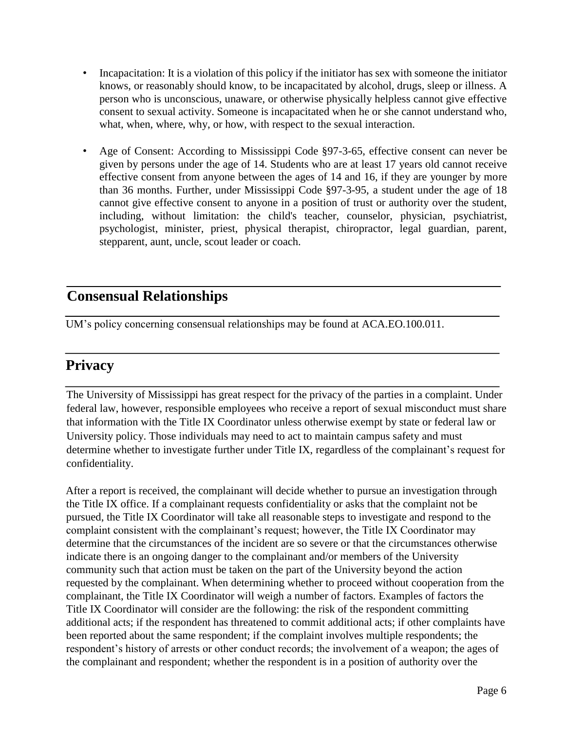- Incapacitation: It is a violation of this policy if the initiator has sex with someone the initiator knows, or reasonably should know, to be incapacitated by alcohol, drugs, sleep or illness. A person who is unconscious, unaware, or otherwise physically helpless cannot give effective consent to sexual activity. Someone is incapacitated when he or she cannot understand who, what, when, where, why, or how, with respect to the sexual interaction.
- Age of Consent: According to Mississippi Code §97-3-65, effective consent can never be given by persons under the age of 14. Students who are at least 17 years old cannot receive effective consent from anyone between the ages of 14 and 16, if they are younger by more than 36 months. Further, under Mississippi Code §97-3-95, a student under the age of 18 cannot give effective consent to anyone in a position of trust or authority over the student, including, without limitation: the child's teacher, counselor, physician, psychiatrist, psychologist, minister, priest, physical therapist, chiropractor, legal guardian, parent, stepparent, aunt, uncle, scout leader or coach.

## **Consensual Relationships**

UM's policy concerning consensual relationships may be found at ACA.EO.100.011.

## **Privacy**

The University of Mississippi has great respect for the privacy of the parties in a complaint. Under federal law, however, responsible employees who receive a report of sexual misconduct must share that information with the Title IX Coordinator unless otherwise exempt by state or federal law or University policy. Those individuals may need to act to maintain campus safety and must determine whether to investigate further under Title IX, regardless of the complainant's request for confidentiality.

After a report is received, the complainant will decide whether to pursue an investigation through the Title IX office. If a complainant requests confidentiality or asks that the complaint not be pursued, the Title IX Coordinator will take all reasonable steps to investigate and respond to the complaint consistent with the complainant's request; however, the Title IX Coordinator may determine that the circumstances of the incident are so severe or that the circumstances otherwise indicate there is an ongoing danger to the complainant and/or members of the University community such that action must be taken on the part of the University beyond the action requested by the complainant. When determining whether to proceed without cooperation from the complainant, the Title IX Coordinator will weigh a number of factors. Examples of factors the Title IX Coordinator will consider are the following: the risk of the respondent committing additional acts; if the respondent has threatened to commit additional acts; if other complaints have been reported about the same respondent; if the complaint involves multiple respondents; the respondent's history of arrests or other conduct records; the involvement of a weapon; the ages of the complainant and respondent; whether the respondent is in a position of authority over the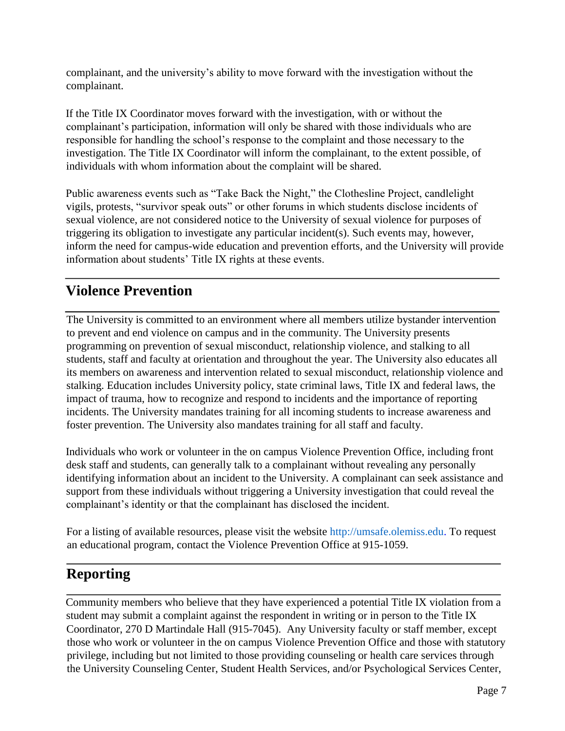complainant, and the university's ability to move forward with the investigation without the complainant.

If the Title IX Coordinator moves forward with the investigation, with or without the complainant's participation, information will only be shared with those individuals who are responsible for handling the school's response to the complaint and those necessary to the investigation. The Title IX Coordinator will inform the complainant, to the extent possible, of individuals with whom information about the complaint will be shared.

Public awareness events such as "Take Back the Night," the Clothesline Project, candlelight vigils, protests, "survivor speak outs" or other forums in which students disclose incidents of sexual violence, are not considered notice to the University of sexual violence for purposes of triggering its obligation to investigate any particular incident(s). Such events may, however, inform the need for campus-wide education and prevention efforts, and the University will provide information about students' Title IX rights at these events.

# **Violence Prevention**

The University is committed to an environment where all members utilize bystander intervention to prevent and end violence on campus and in the community. The University presents programming on prevention of sexual misconduct, relationship violence, and stalking to all students, staff and faculty at orientation and throughout the year. The University also educates all its members on awareness and intervention related to sexual misconduct, relationship violence and stalking. Education includes University policy, state criminal laws, Title IX and federal laws, the impact of trauma, how to recognize and respond to incidents and the importance of reporting incidents. The University mandates training for all incoming students to increase awareness and foster prevention. The University also mandates training for all staff and faculty.

Individuals who work or volunteer in the on campus Violence Prevention Office, including front desk staff and students, can generally talk to a complainant without revealing any personally identifying information about an incident to the University. A complainant can seek assistance and support from these individuals without triggering a University investigation that could reveal the complainant's identity or that the complainant has disclosed the incident.

For a listing of available resources, please visit the website http://umsafe.olemiss.edu. To request an educational program, contact the Violence Prevention Office at 915-1059.

# **Reporting**

Community members who believe that they have experienced a potential Title IX violation from a student may submit a complaint against the respondent in writing or in person to the Title IX Coordinator, 270 D Martindale Hall (915-7045). Any University faculty or staff member, except those who work or volunteer in the on campus Violence Prevention Office and those with statutory privilege, including but not limited to those providing counseling or health care services through the University Counseling Center, Student Health Services, and/or Psychological Services Center,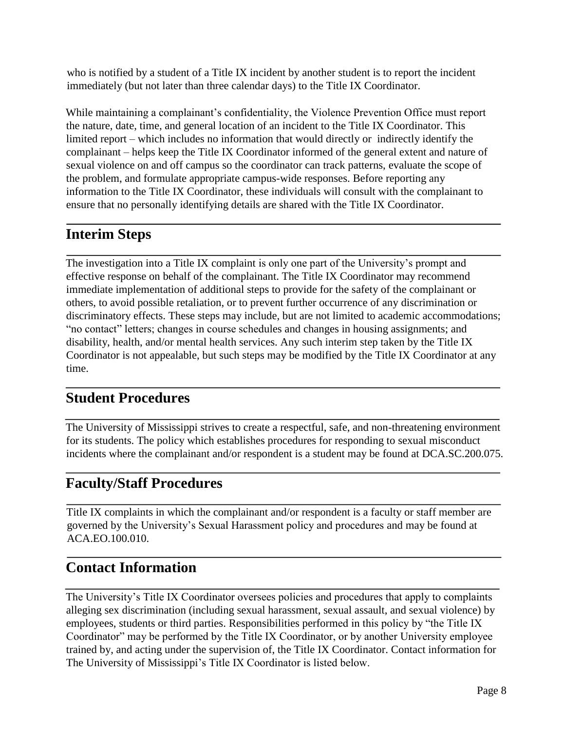who is notified by a student of a Title IX incident by another student is to report the incident immediately (but not later than three calendar days) to the Title IX Coordinator.

While maintaining a complainant's confidentiality, the Violence Prevention Office must report the nature, date, time, and general location of an incident to the Title IX Coordinator. This limited report – which includes no information that would directly or indirectly identify the complainant – helps keep the Title IX Coordinator informed of the general extent and nature of sexual violence on and off campus so the coordinator can track patterns, evaluate the scope of the problem, and formulate appropriate campus-wide responses. Before reporting any information to the Title IX Coordinator, these individuals will consult with the complainant to ensure that no personally identifying details are shared with the Title IX Coordinator.

# **Interim Steps**

The investigation into a Title IX complaint is only one part of the University's prompt and effective response on behalf of the complainant. The Title IX Coordinator may recommend immediate implementation of additional steps to provide for the safety of the complainant or others, to avoid possible retaliation, or to prevent further occurrence of any discrimination or discriminatory effects. These steps may include, but are not limited to academic accommodations; "no contact" letters; changes in course schedules and changes in housing assignments; and disability, health, and/or mental health services. Any such interim step taken by the Title IX Coordinator is not appealable, but such steps may be modified by the Title IX Coordinator at any time.

## **Student Procedures**

The University of Mississippi strives to create a respectful, safe, and non-threatening environment for its students. The policy which establishes procedures for responding to sexual misconduct incidents where the complainant and/or respondent is a student may be found at DCA.SC.200.075.

## **Faculty/Staff Procedures**

Title IX complaints in which the complainant and/or respondent is a faculty or staff member are governed by the University's Sexual Harassment policy and procedures and may be found at ACA.EO.100.010.

## **Contact Information**

The University's Title IX Coordinator oversees policies and procedures that apply to complaints alleging sex discrimination (including sexual harassment, sexual assault, and sexual violence) by employees, students or third parties. Responsibilities performed in this policy by "the Title IX Coordinator" may be performed by the Title IX Coordinator, or by another University employee trained by, and acting under the supervision of, the Title IX Coordinator. Contact information for The University of Mississippi's Title IX Coordinator is listed below.